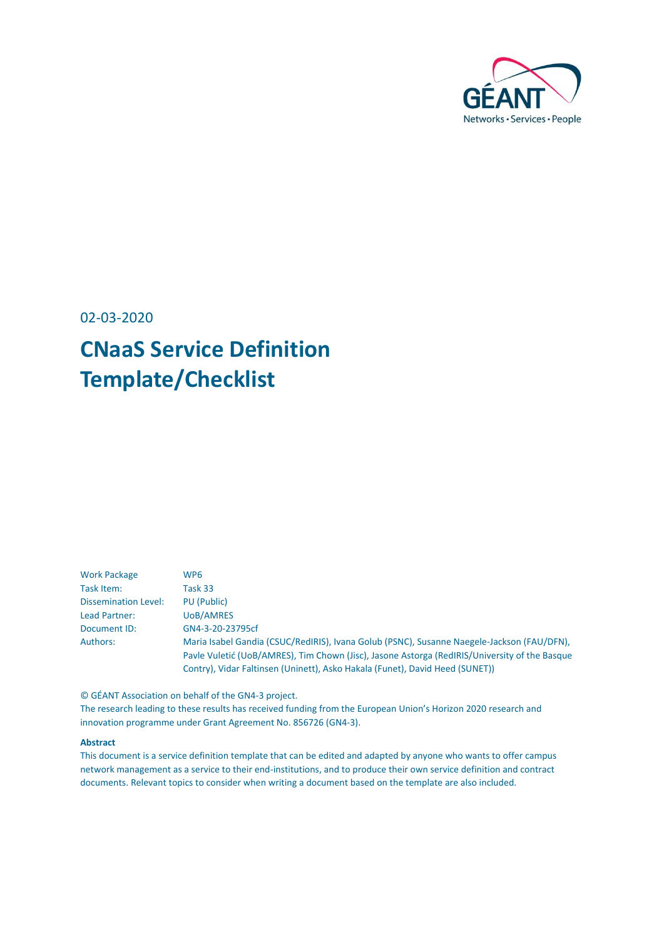

02-03-2020

# **CNaaS Service Definition Template/Checklist**

| <b>Work Package</b>         | WP <sub>6</sub>                                                                               |
|-----------------------------|-----------------------------------------------------------------------------------------------|
| Task Item:                  | Task 33                                                                                       |
| <b>Dissemination Level:</b> | PU (Public)                                                                                   |
| Lead Partner:               | <b>UoB/AMRES</b>                                                                              |
| Document ID:                | GN4-3-20-23795cf                                                                              |
| Authors:                    | Maria Isabel Gandia (CSUC/RedIRIS), Ivana Golub (PSNC), Susanne Naegele-Jackson (FAU/DFN),    |
|                             | Pavle Vuletić (UoB/AMRES), Tim Chown (Jisc), Jasone Astorga (RedIRIS/University of the Basque |
|                             | Contry), Vidar Faltinsen (Uninett), Asko Hakala (Funet), David Heed (SUNET))                  |

© GÉANT Association on behalf of the GN4-3 project.

The research leading to these results has received funding from the European Union's Horizon 2020 research and innovation programme under Grant Agreement No. 856726 (GN4-3).

#### **Abstract**

This document is a service definition template that can be edited and adapted by anyone who wants to offer campus network management as a service to their end-institutions, and to produce their own service definition and contract documents. Relevant topics to consider when writing a document based on the template are also included.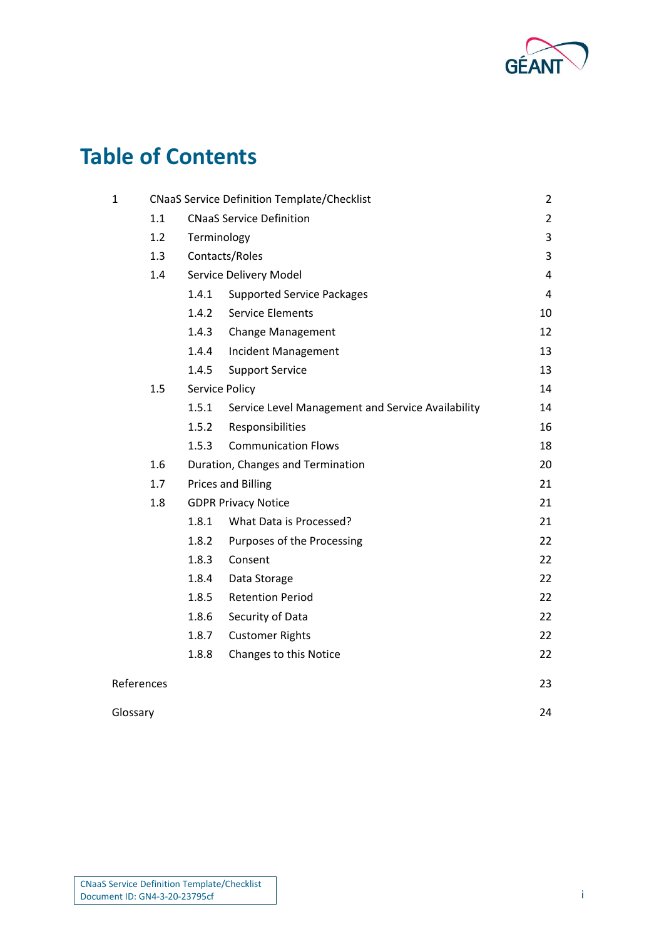

# **Table of Contents**

| $\mathbf{1}$ | <b>CNaaS Service Definition Template/Checklist</b> |                                 |                                                   | $\overline{a}$ |
|--------------|----------------------------------------------------|---------------------------------|---------------------------------------------------|----------------|
|              | 1.1                                                |                                 | <b>CNaaS Service Definition</b>                   | $\overline{2}$ |
|              | 1.2                                                | Terminology                     |                                                   | 3              |
|              | 1.3                                                | Contacts/Roles                  |                                                   |                |
|              | 1.4                                                | Service Delivery Model          |                                                   | $\overline{4}$ |
|              |                                                    | 1.4.1                           | <b>Supported Service Packages</b>                 | 4              |
|              |                                                    | 1.4.2                           | <b>Service Elements</b>                           | 10             |
|              |                                                    | 1.4.3                           | Change Management                                 | 12             |
|              |                                                    | 1.4.4                           | <b>Incident Management</b>                        | 13             |
|              |                                                    | 1.4.5                           | <b>Support Service</b>                            | 13             |
|              | 1.5                                                | Service Policy                  |                                                   | 14             |
|              |                                                    | 1.5.1                           | Service Level Management and Service Availability | 14             |
|              |                                                    | 1.5.2                           | Responsibilities                                  | 16             |
|              |                                                    | 1.5.3                           | <b>Communication Flows</b>                        | 18             |
|              | 1.6                                                |                                 | Duration, Changes and Termination                 | 20             |
|              | 1.7                                                | <b>Prices and Billing</b><br>21 |                                                   |                |
|              | 1.8                                                |                                 | <b>GDPR Privacy Notice</b>                        | 21             |
|              |                                                    | 1.8.1                           | What Data is Processed?                           | 21             |
|              |                                                    | 1.8.2                           | Purposes of the Processing                        | 22             |
|              |                                                    | 1.8.3                           | Consent                                           | 22             |
|              |                                                    | 1.8.4                           | Data Storage                                      | 22             |
|              |                                                    | 1.8.5                           | <b>Retention Period</b>                           | 22             |
|              |                                                    | 1.8.6                           | Security of Data                                  | 22             |
|              |                                                    | 1.8.7                           | <b>Customer Rights</b>                            | 22             |
|              |                                                    | 1.8.8                           | Changes to this Notice                            | 22             |
| References   |                                                    |                                 |                                                   | 23             |

## [Glossary](#page-24-0) 24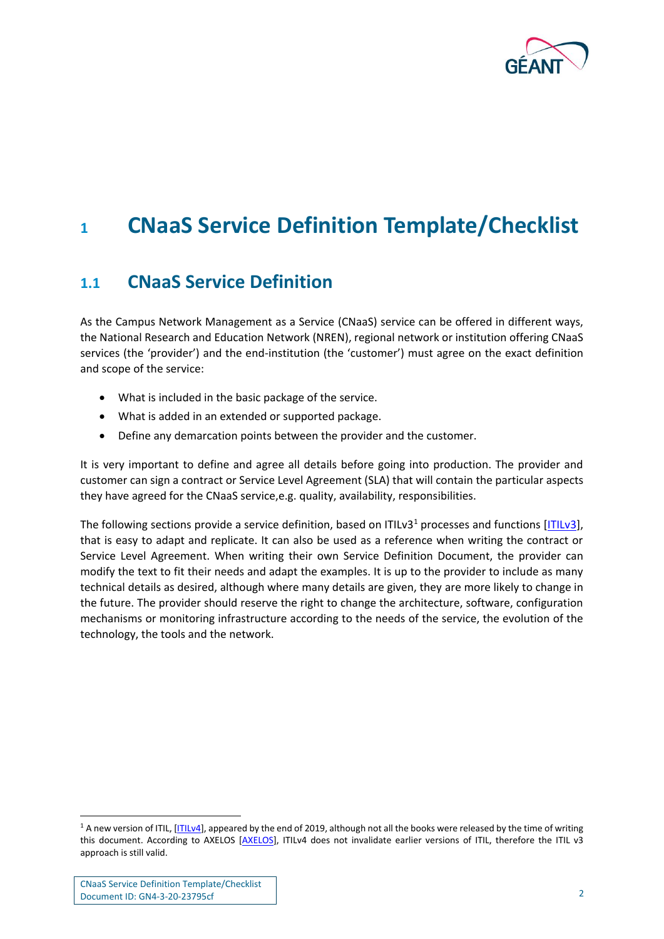

# <span id="page-2-0"></span>**<sup>1</sup> CNaaS Service Definition Template/Checklist**

# <span id="page-2-1"></span>**1.1 CNaaS Service Definition**

As the Campus Network Management as a Service (CNaaS) service can be offered in different ways, the National Research and Education Network (NREN), regional network or institution offering CNaaS services (the 'provider') and the end-institution (the 'customer') must agree on the exact definition and scope of the service:

- What is included in the basic package of the service.
- What is added in an extended or supported package.
- Define any demarcation points between the provider and the customer.

It is very important to define and agree all details before going into production. The provider and customer can sign a contract or Service Level Agreement (SLA) that will contain the particular aspects they have agreed for the CNaaS service,e.g. quality, availability, responsibilities.

The following sections provide a service definition, based on ITILv3<sup>1</sup> processes and functions  $[ITILv3]$ , that is easy to adapt and replicate. It can also be used as a reference when writing the contract or Service Level Agreement. When writing their own Service Definition Document, the provider can modify the text to fit their needs and adapt the examples. It is up to the provider to include as many technical details as desired, although where many details are given, they are more likely to change in the future. The provider should reserve the right to change the architecture, software, configuration mechanisms or monitoring infrastructure according to the needs of the service, the evolution of the technology, the tools and the network.

<sup>&</sup>lt;sup>1</sup> A new version of ITIL, [\[ITILv4\]](#page-23-2), appeared by the end of 2019, although not all the books were released by the time of writing this document. According to AXELOS [\[AXELOS\]](#page-23-3), ITILv4 does not invalidate earlier versions of ITIL, therefore the ITIL v3 approach is still valid.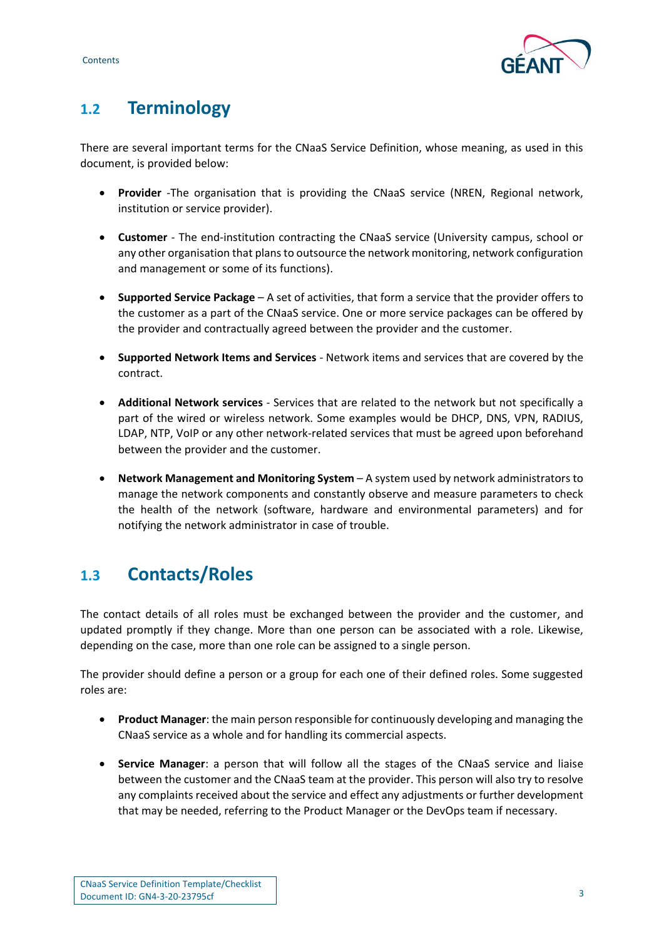

# <span id="page-3-0"></span>**1.2 Terminology**

There are several important terms for the CNaaS Service Definition, whose meaning, as used in this document, is provided below:

- **Provider** -The organisation that is providing the CNaaS service (NREN, Regional network, institution or service provider).
- **Customer** The end-institution contracting the CNaaS service (University campus, school or any other organisation that plans to outsource the network monitoring, network configuration and management or some of its functions).
- **Supported Service Package** A set of activities, that form a service that the provider offers to the customer as a part of the CNaaS service. One or more service packages can be offered by the provider and contractually agreed between the provider and the customer.
- **Supported Network Items and Services** Network items and services that are covered by the contract.
- **Additional Network services** Services that are related to the network but not specifically a part of the wired or wireless network. Some examples would be DHCP, DNS, VPN, RADIUS, LDAP, NTP, VoIP or any other network-related services that must be agreed upon beforehand between the provider and the customer.
- **Network Management and Monitoring System** A system used by network administrators to manage the network components and constantly observe and measure parameters to check the health of the network (software, hardware and environmental parameters) and for notifying the network administrator in case of trouble.

# <span id="page-3-1"></span>**1.3 Contacts/Roles**

The contact details of all roles must be exchanged between the provider and the customer, and updated promptly if they change. More than one person can be associated with a role. Likewise, depending on the case, more than one role can be assigned to a single person.

The provider should define a person or a group for each one of their defined roles. Some suggested roles are:

- **Product Manager**: the main person responsible for continuously developing and managing the CNaaS service as a whole and for handling its commercial aspects.
- **Service Manager**: a person that will follow all the stages of the CNaaS service and liaise between the customer and the CNaaS team at the provider. This person will also try to resolve any complaints received about the service and effect any adjustments or further development that may be needed, referring to the Product Manager or the DevOps team if necessary.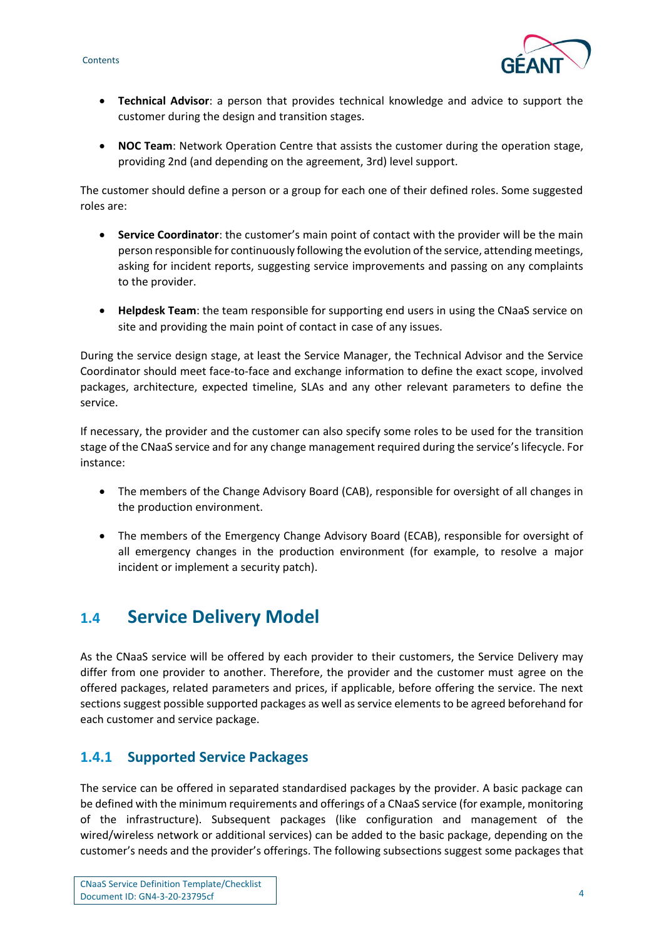

- **Technical Advisor**: a person that provides technical knowledge and advice to support the customer during the design and transition stages.
- **NOC Team**: Network Operation Centre that assists the customer during the operation stage, providing 2nd (and depending on the agreement, 3rd) level support.

The customer should define a person or a group for each one of their defined roles. Some suggested roles are:

- **Service Coordinator**: the customer's main point of contact with the provider will be the main person responsible for continuously following the evolution of the service, attending meetings, asking for incident reports, suggesting service improvements and passing on any complaints to the provider.
- **Helpdesk Team**: the team responsible for supporting end users in using the CNaaS service on site and providing the main point of contact in case of any issues.

During the service design stage, at least the Service Manager, the Technical Advisor and the Service Coordinator should meet face-to-face and exchange information to define the exact scope, involved packages, architecture, expected timeline, SLAs and any other relevant parameters to define the service.

If necessary, the provider and the customer can also specify some roles to be used for the transition stage of the CNaaS service and for any change management required during the service's lifecycle. For instance:

- The members of the Change Advisory Board (CAB), responsible for oversight of all changes in the production environment.
- The members of the Emergency Change Advisory Board (ECAB), responsible for oversight of all emergency changes in the production environment (for example, to resolve a major incident or implement a security patch).

# <span id="page-4-0"></span>**1.4 Service Delivery Model**

As the CNaaS service will be offered by each provider to their customers, the Service Delivery may differ from one provider to another. Therefore, the provider and the customer must agree on the offered packages, related parameters and prices, if applicable, before offering the service. The next sections suggest possible supported packages as well as service elements to be agreed beforehand for each customer and service package.

# <span id="page-4-1"></span>**1.4.1 Supported Service Packages**

The service can be offered in separated standardised packages by the provider. A basic package can be defined with the minimum requirements and offerings of a CNaaS service (for example, monitoring of the infrastructure). Subsequent packages (like configuration and management of the wired/wireless network or additional services) can be added to the basic package, depending on the customer's needs and the provider's offerings. The following subsections suggest some packages that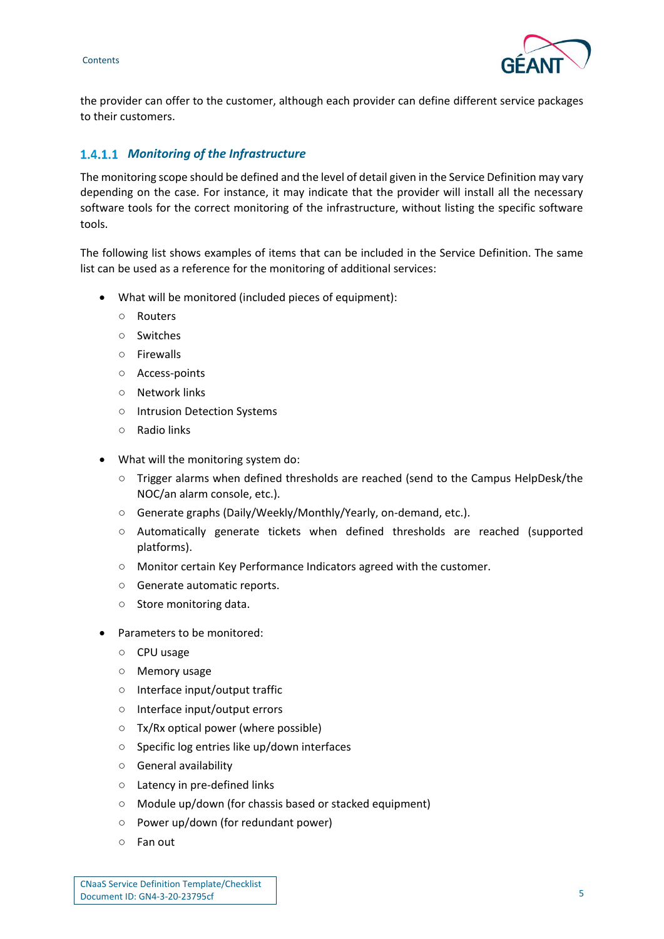

the provider can offer to the customer, although each provider can define different service packages to their customers.

#### *Monitoring of the Infrastructure*

The monitoring scope should be defined and the level of detail given in the Service Definition may vary depending on the case. For instance, it may indicate that the provider will install all the necessary software tools for the correct monitoring of the infrastructure, without listing the specific software tools.

The following list shows examples of items that can be included in the Service Definition. The same list can be used as a reference for the monitoring of additional services:

- What will be monitored (included pieces of equipment):
	- Routers
	- Switches
	- Firewalls
	- Access-points
	- Network links
	- Intrusion Detection Systems
	- Radio links
- What will the monitoring system do:
	- Trigger alarms when defined thresholds are reached (send to the Campus HelpDesk/the NOC/an alarm console, etc.).
	- Generate graphs (Daily/Weekly/Monthly/Yearly, on-demand, etc.).
	- Automatically generate tickets when defined thresholds are reached (supported platforms).
	- Monitor certain Key Performance Indicators agreed with the customer.
	- Generate automatic reports.
	- Store monitoring data.
- Parameters to be monitored:
	- CPU usage
	- Memory usage
	- Interface input/output traffic
	- Interface input/output errors
	- Tx/Rx optical power (where possible)
	- Specific log entries like up/down interfaces
	- General availability
	- Latency in pre-defined links
	- Module up/down (for chassis based or stacked equipment)
	- Power up/down (for redundant power)
	- Fan out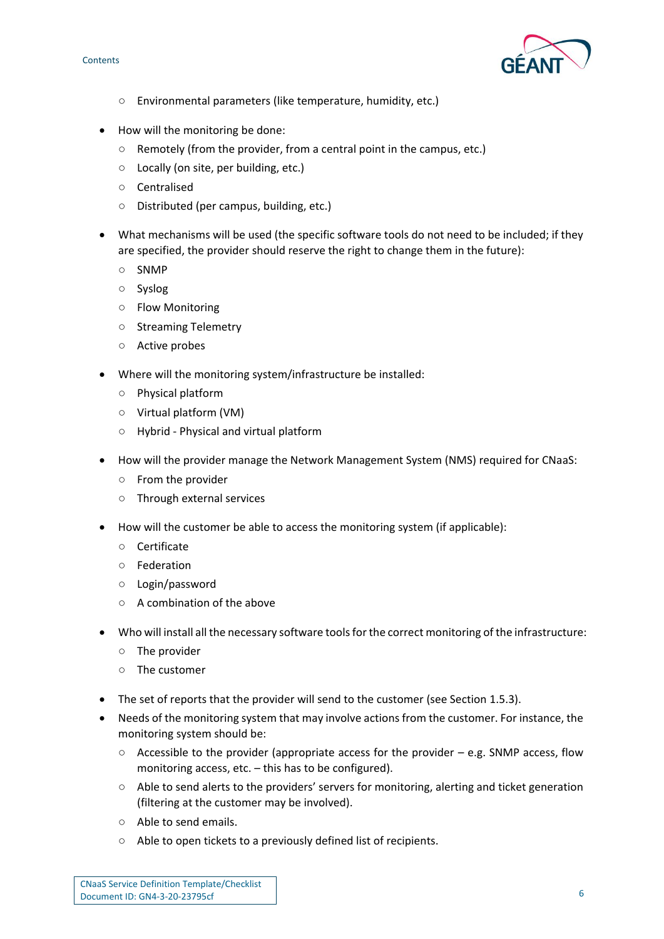**Contents** 



- Environmental parameters (like temperature, humidity, etc.)
- How will the monitoring be done:
	- Remotely (from the provider, from a central point in the campus, etc.)
	- Locally (on site, per building, etc.)
	- Centralised
	- Distributed (per campus, building, etc.)
- What mechanisms will be used (the specific software tools do not need to be included; if they are specified, the provider should reserve the right to change them in the future):
	- SNMP
	- Syslog
	- Flow Monitoring
	- Streaming Telemetry
	- Active probes
- Where will the monitoring system/infrastructure be installed:
	- Physical platform
	- Virtual platform (VM)
	- Hybrid Physical and virtual platform
- How will the provider manage the Network Management System (NMS) required for CNaaS:
	- From the provider
	- Through external services
- How will the customer be able to access the monitoring system (if applicable):
	- Certificate
	- Federation
	- Login/password
	- A combination of the above
- Who will install all the necessary software tools for the correct monitoring of the infrastructure:
	- The provider
	- The customer
- The set of reports that the provider will send to the customer (see Section 1.5.3).
- Needs of the monitoring system that may involve actions from the customer. For instance, the monitoring system should be:
	- $\circ$  Accessible to the provider (appropriate access for the provider e.g. SNMP access, flow monitoring access, etc. – this has to be configured).
	- Able to send alerts to the providers' servers for monitoring, alerting and ticket generation (filtering at the customer may be involved).
	- Able to send emails.
	- Able to open tickets to a previously defined list of recipients.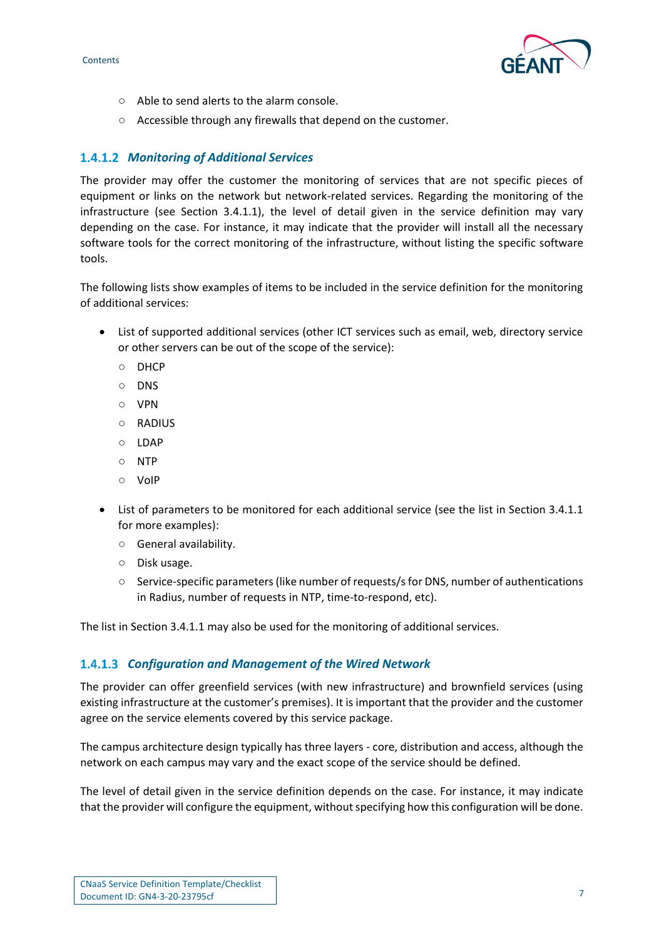

- Able to send alerts to the alarm console.
- Accessible through any firewalls that depend on the customer.

#### *Monitoring of Additional Services*

The provider may offer the customer the monitoring of services that are not specific pieces of equipment or links on the network but network-related services. Regarding the monitoring of the infrastructure (see Section 3.4.1.1), the level of detail given in the service definition may vary depending on the case. For instance, it may indicate that the provider will install all the necessary software tools for the correct monitoring of the infrastructure, without listing the specific software tools.

The following lists show examples of items to be included in the service definition for the monitoring of additional services:

- List of supported additional services (other ICT services such as email, web, directory service or other servers can be out of the scope of the service):
	- DHCP
	- DNS
	- VPN
	- $O$  RADIUS
	- LDAP
	- NTP
	- VoIP
- List of parameters to be monitored for each additional service (see the list in Section 3.4.1.1 for more examples):
	- General availability.
	- Disk usage.
	- Service-specific parameters (like number of requests/s for DNS, number of authentications in Radius, number of requests in NTP, time-to-respond, etc).

The list in Section 3.4.1.1 may also be used for the monitoring of additional services.

#### *Configuration and Management of the Wired Network*

The provider can offer greenfield services (with new infrastructure) and brownfield services (using existing infrastructure at the customer's premises). It is important that the provider and the customer agree on the service elements covered by this service package.

The campus architecture design typically has three layers - core, distribution and access, although the network on each campus may vary and the exact scope of the service should be defined.

The level of detail given in the service definition depends on the case. For instance, it may indicate that the provider will configure the equipment, without specifying how this configuration will be done.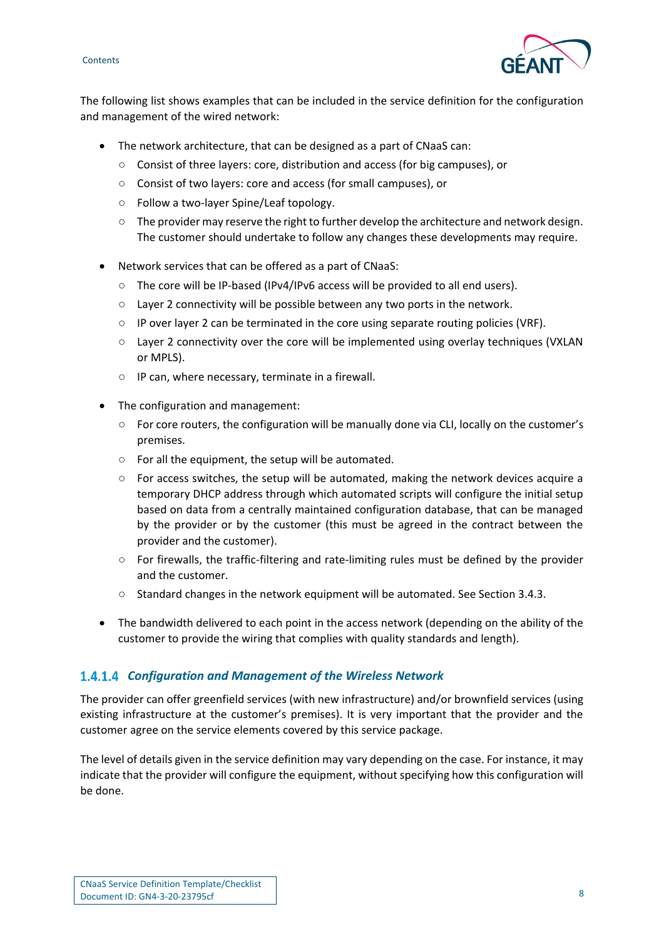



The following list shows examples that can be included in the service definition for the configuration and management of the wired network:

- The network architecture, that can be designed as a part of CNaaS can:
	- Consist of three layers: core, distribution and access (for big campuses), or
	- Consist of two layers: core and access (for small campuses), or
	- Follow a two-layer Spine/Leaf topology.
	- $\circ$  The provider may reserve the right to further develop the architecture and network design. The customer should undertake to follow any changes these developments may require.
- Network services that can be offered as a part of CNaaS:
	- The core will be IP-based (IPv4/IPv6 access will be provided to all end users).
	- Layer 2 connectivity will be possible between any two ports in the network.
	- $\circ$  IP over layer 2 can be terminated in the core using separate routing policies (VRF).
	- Layer 2 connectivity over the core will be implemented using overlay techniques (VXLAN or MPLS).
	- IP can, where necessary, terminate in a firewall.
- The configuration and management:
	- For core routers, the configuration will be manually done via CLI, locally on the customer's premises.
	- For all the equipment, the setup will be automated.
	- $\circ$  For access switches, the setup will be automated, making the network devices acquire a temporary DHCP address through which automated scripts will configure the initial setup based on data from a centrally maintained configuration database, that can be managed by the provider or by the customer (this must be agreed in the contract between the provider and the customer).
	- For firewalls, the traffic-filtering and rate-limiting rules must be defined by the provider and the customer.
	- Standard changes in the network equipment will be automated. See Section 3.4.3.
- The bandwidth delivered to each point in the access network (depending on the ability of the customer to provide the wiring that complies with quality standards and length).

#### *Configuration and Management of the Wireless Network*

The provider can offer greenfield services (with new infrastructure) and/or brownfield services (using existing infrastructure at the customer's premises). It is very important that the provider and the customer agree on the service elements covered by this service package.

The level of details given in the service definition may vary depending on the case. For instance, it may indicate that the provider will configure the equipment, without specifying how this configuration will be done.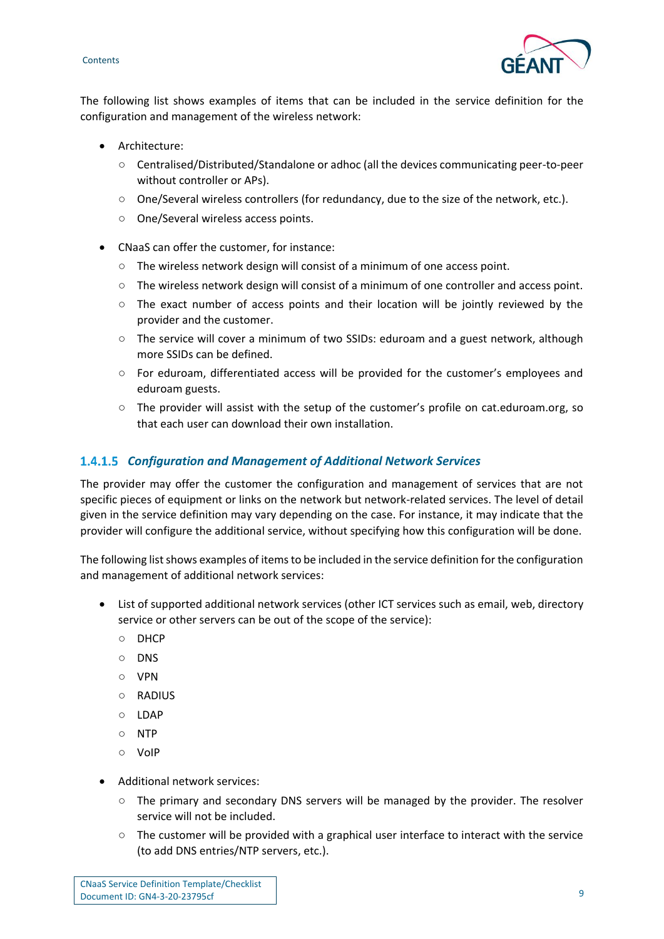



The following list shows examples of items that can be included in the service definition for the configuration and management of the wireless network:

- Architecture:
	- Centralised/Distributed/Standalone or adhoc (all the devices communicating peer-to-peer without controller or APs).
	- One/Several wireless controllers (for redundancy, due to the size of the network, etc.).
	- One/Several wireless access points.
- CNaaS can offer the customer, for instance:
	- The wireless network design will consist of a minimum of one access point.
	- The wireless network design will consist of a minimum of one controller and access point.
	- $\circ$  The exact number of access points and their location will be jointly reviewed by the provider and the customer.
	- The service will cover a minimum of two SSIDs: eduroam and a guest network, although more SSIDs can be defined.
	- For eduroam, differentiated access will be provided for the customer's employees and eduroam guests.
	- The provider will assist with the setup of the customer's profile on cat.eduroam.org, so that each user can download their own installation.

#### *Configuration and Management of Additional Network Services*

The provider may offer the customer the configuration and management of services that are not specific pieces of equipment or links on the network but network-related services. The level of detail given in the service definition may vary depending on the case. For instance, it may indicate that the provider will configure the additional service, without specifying how this configuration will be done.

The following list shows examples of items to be included in the service definition for the configuration and management of additional network services:

- List of supported additional network services (other ICT services such as email, web, directory service or other servers can be out of the scope of the service):
	- DHCP
	- DNS
	- VPN
	- RADIUS
	- LDAP
	- NTP
	- VoIP
- Additional network services:
	- The primary and secondary DNS servers will be managed by the provider. The resolver service will not be included.
	- The customer will be provided with a graphical user interface to interact with the service (to add DNS entries/NTP servers, etc.).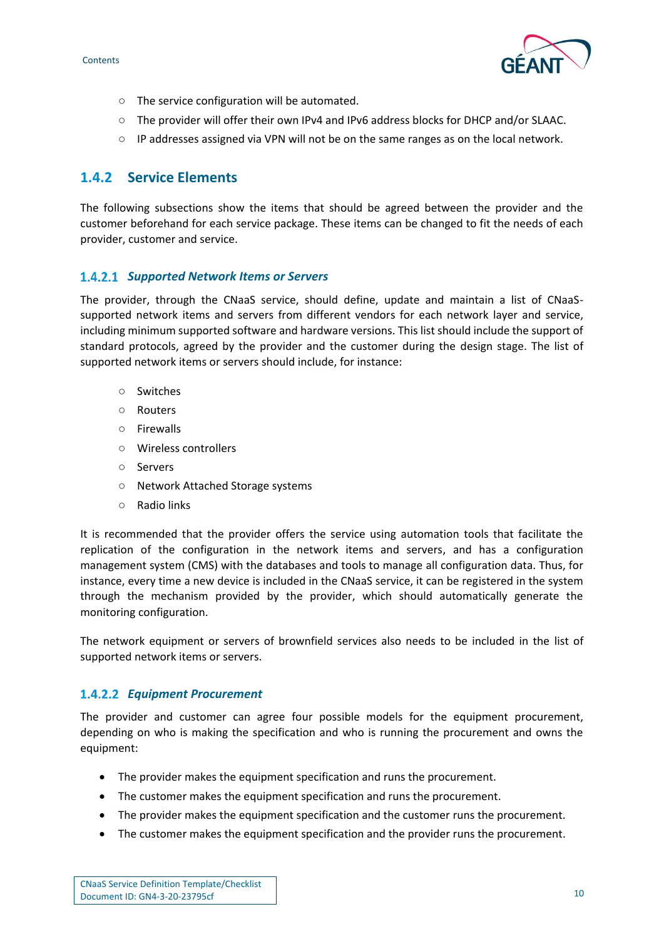

- The service configuration will be automated.
- The provider will offer their own IPv4 and IPv6 address blocks for DHCP and/or SLAAC.
- IP addresses assigned via VPN will not be on the same ranges as on the local network.

#### <span id="page-10-0"></span>**1.4.2 Service Elements**

The following subsections show the items that should be agreed between the provider and the customer beforehand for each service package. These items can be changed to fit the needs of each provider, customer and service.

#### 1.4.2.1 Supported Network Items or Servers

The provider, through the CNaaS service, should define, update and maintain a list of CNaaSsupported network items and servers from different vendors for each network layer and service, including minimum supported software and hardware versions. This list should include the support of standard protocols, agreed by the provider and the customer during the design stage. The list of supported network items or servers should include, for instance:

- Switches
- Routers
- Firewalls
- Wireless controllers
- Servers
- Network Attached Storage systems
- Radio links

It is recommended that the provider offers the service using automation tools that facilitate the replication of the configuration in the network items and servers, and has a configuration management system (CMS) with the databases and tools to manage all configuration data. Thus, for instance, every time a new device is included in the CNaaS service, it can be registered in the system through the mechanism provided by the provider, which should automatically generate the monitoring configuration.

The network equipment or servers of brownfield services also needs to be included in the list of supported network items or servers.

#### *Equipment Procurement*

The provider and customer can agree four possible models for the equipment procurement, depending on who is making the specification and who is running the procurement and owns the equipment:

- The provider makes the equipment specification and runs the procurement.
- The customer makes the equipment specification and runs the procurement.
- The provider makes the equipment specification and the customer runs the procurement.
- The customer makes the equipment specification and the provider runs the procurement.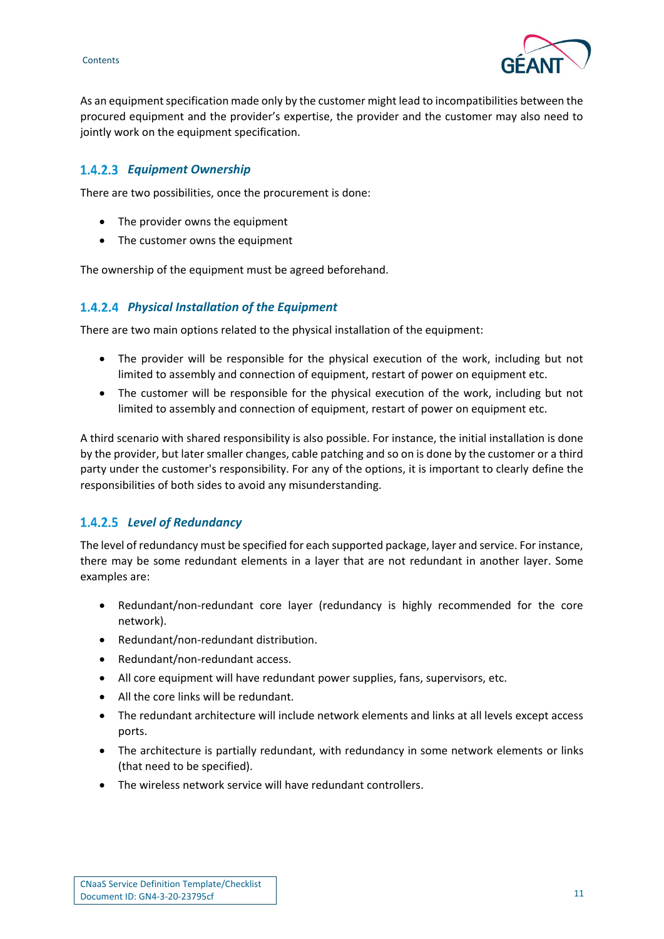**Contents** 



As an equipment specification made only by the customer might lead to incompatibilities between the procured equipment and the provider's expertise, the provider and the customer may also need to jointly work on the equipment specification.

### *Equipment Ownership*

There are two possibilities, once the procurement is done:

- The provider owns the equipment
- The customer owns the equipment

The ownership of the equipment must be agreed beforehand.

#### *Physical Installation of the Equipment*

There are two main options related to the physical installation of the equipment:

- The provider will be responsible for the physical execution of the work, including but not limited to assembly and connection of equipment, restart of power on equipment etc.
- The customer will be responsible for the physical execution of the work, including but not limited to assembly and connection of equipment, restart of power on equipment etc.

A third scenario with shared responsibility is also possible. For instance, the initial installation is done by the provider, but later smaller changes, cable patching and so on is done by the customer or a third party under the customer's responsibility. For any of the options, it is important to clearly define the responsibilities of both sides to avoid any misunderstanding.

#### *Level of Redundancy*

The level of redundancy must be specified for each supported package, layer and service. For instance, there may be some redundant elements in a layer that are not redundant in another layer. Some examples are:

- Redundant/non-redundant core layer (redundancy is highly recommended for the core network).
- Redundant/non-redundant distribution.
- Redundant/non-redundant access.
- All core equipment will have redundant power supplies, fans, supervisors, etc.
- All the core links will be redundant.
- The redundant architecture will include network elements and links at all levels except access ports.
- The architecture is partially redundant, with redundancy in some network elements or links (that need to be specified).
- The wireless network service will have redundant controllers.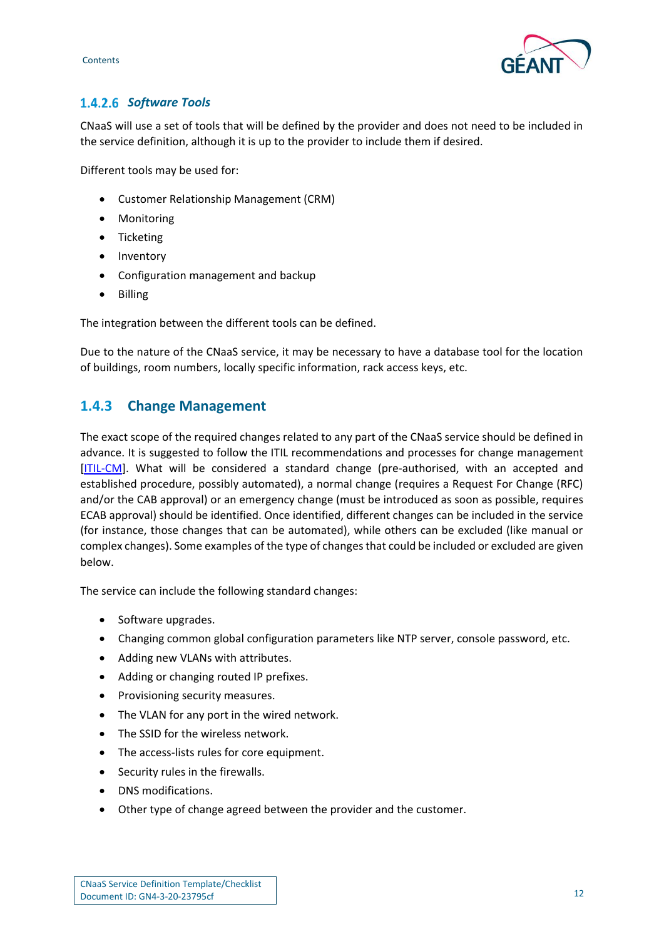



## **1.4.2.6 Software Tools**

CNaaS will use a set of tools that will be defined by the provider and does not need to be included in the service definition, although it is up to the provider to include them if desired.

Different tools may be used for:

- Customer Relationship Management (CRM)
- Monitoring
- Ticketing
- Inventory
- Configuration management and backup
- Billing

The integration between the different tools can be defined.

Due to the nature of the CNaaS service, it may be necessary to have a database tool for the location of buildings, room numbers, locally specific information, rack access keys, etc.

## <span id="page-12-0"></span>**1.4.3 Change Management**

The exact scope of the required changes related to any part of the CNaaS service should be defined in advance. It is suggested to follow the ITIL recommendations and processes for change management [\[ITIL-CM\]](#page-23-4). What will be considered a standard change (pre-authorised, with an accepted and established procedure, possibly automated), a normal change (requires a Request For Change (RFC) and/or the CAB approval) or an emergency change (must be introduced as soon as possible, requires ECAB approval) should be identified. Once identified, different changes can be included in the service (for instance, those changes that can be automated), while others can be excluded (like manual or complex changes). Some examples of the type of changes that could be included or excluded are given below.

The service can include the following standard changes:

- Software upgrades.
- Changing common global configuration parameters like NTP server, console password, etc.
- Adding new VLANs with attributes.
- Adding or changing routed IP prefixes.
- Provisioning security measures.
- The VLAN for any port in the wired network.
- The SSID for the wireless network.
- The access-lists rules for core equipment.
- Security rules in the firewalls.
- DNS modifications.
- Other type of change agreed between the provider and the customer.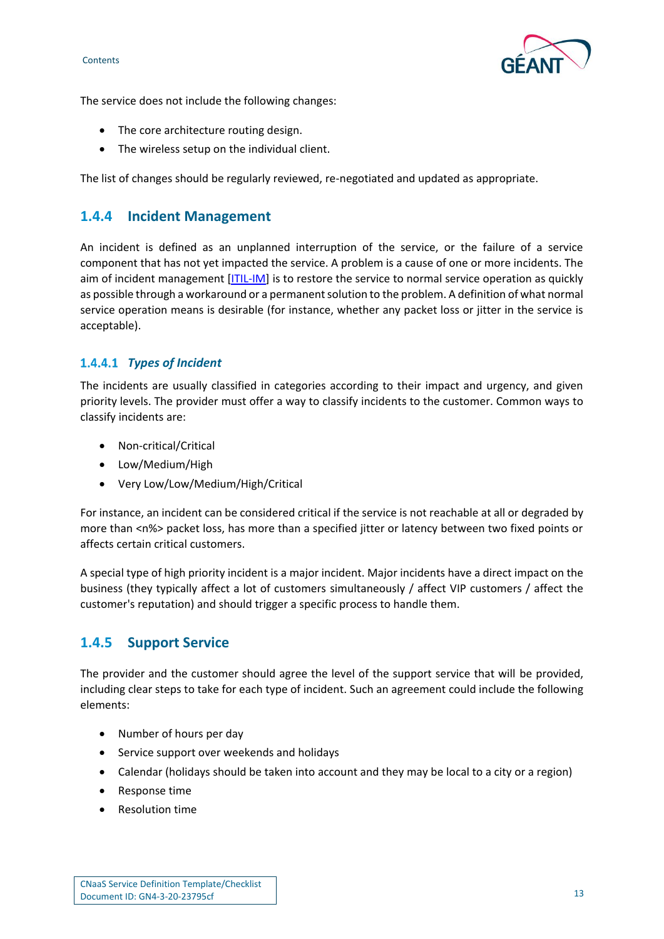

The service does not include the following changes:

- The core architecture routing design.
- The wireless setup on the individual client.

The list of changes should be regularly reviewed, re-negotiated and updated as appropriate.

## <span id="page-13-0"></span>**1.4.4 Incident Management**

An incident is defined as an unplanned interruption of the service, or the failure of a service component that has not yet impacted the service. A problem is a cause of one or more incidents. The aim of incident management [\[ITIL-IM\]](#page-23-5) is to restore the service to normal service operation as quickly as possible through a workaround or a permanent solution to the problem. A definition of what normal service operation means is desirable (for instance, whether any packet loss or jitter in the service is acceptable).

#### *Types of Incident*

The incidents are usually classified in categories according to their impact and urgency, and given priority levels. The provider must offer a way to classify incidents to the customer. Common ways to classify incidents are:

- Non-critical/Critical
- Low/Medium/High
- Very Low/Low/Medium/High/Critical

For instance, an incident can be considered critical if the service is not reachable at all or degraded by more than <n%> packet loss, has more than a specified jitter or latency between two fixed points or affects certain critical customers.

A special type of high priority incident is a major incident. Major incidents have a direct impact on the business (they typically affect a lot of customers simultaneously / affect VIP customers / affect the customer's reputation) and should trigger a specific process to handle them.

## <span id="page-13-1"></span>**1.4.5 Support Service**

The provider and the customer should agree the level of the support service that will be provided, including clear steps to take for each type of incident. Such an agreement could include the following elements:

- Number of hours per day
- Service support over weekends and holidays
- Calendar (holidays should be taken into account and they may be local to a city or a region)
- Response time
- Resolution time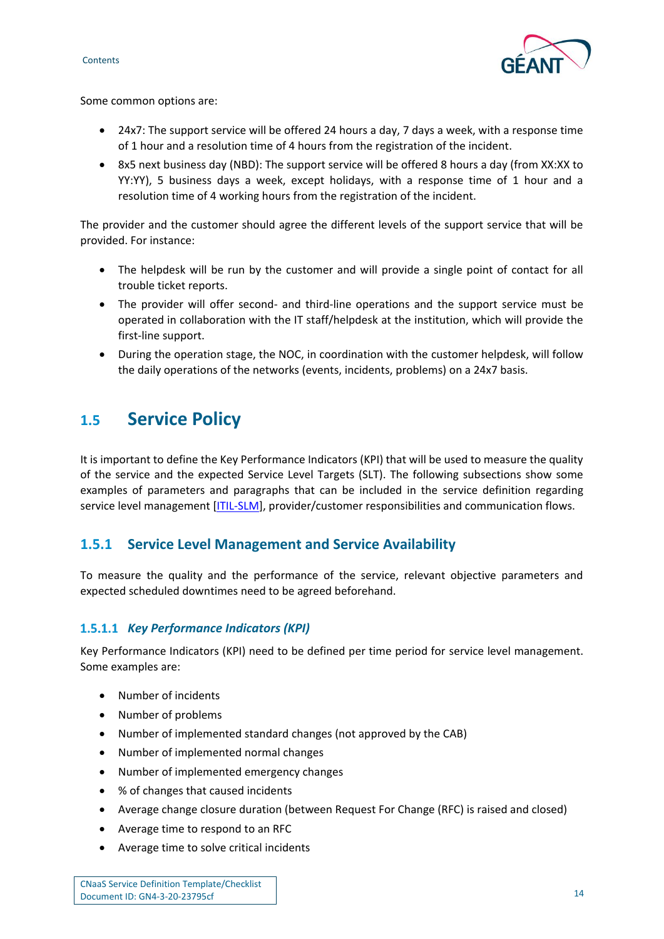



Some common options are:

- 24x7: The support service will be offered 24 hours a day, 7 days a week, with a response time of 1 hour and a resolution time of 4 hours from the registration of the incident.
- 8x5 next business day (NBD): The support service will be offered 8 hours a day (from XX:XX to YY:YY), 5 business days a week, except holidays, with a response time of 1 hour and a resolution time of 4 working hours from the registration of the incident.

The provider and the customer should agree the different levels of the support service that will be provided. For instance:

- The helpdesk will be run by the customer and will provide a single point of contact for all trouble ticket reports.
- The provider will offer second- and third-line operations and the support service must be operated in collaboration with the IT staff/helpdesk at the institution, which will provide the first-line support.
- During the operation stage, the NOC, in coordination with the customer helpdesk, will follow the daily operations of the networks (events, incidents, problems) on a 24x7 basis.

# <span id="page-14-0"></span>**1.5 Service Policy**

It is important to define the Key Performance Indicators (KPI) that will be used to measure the quality of the service and the expected Service Level Targets (SLT). The following subsections show some examples of parameters and paragraphs that can be included in the service definition regarding service level management [\[ITIL-SLM\]](#page-23-6), provider/customer responsibilities and communication flows.

## <span id="page-14-1"></span>**1.5.1 Service Level Management and Service Availability**

To measure the quality and the performance of the service, relevant objective parameters and expected scheduled downtimes need to be agreed beforehand.

#### **1.5.1.1 Key Performance Indicators (KPI)**

Key Performance Indicators (KPI) need to be defined per time period for service level management. Some examples are:

- Number of incidents
- Number of problems
- Number of implemented standard changes (not approved by the CAB)
- Number of implemented normal changes
- Number of implemented emergency changes
- % of changes that caused incidents
- Average change closure duration (between Request For Change (RFC) is raised and closed)
- Average time to respond to an RFC
- Average time to solve critical incidents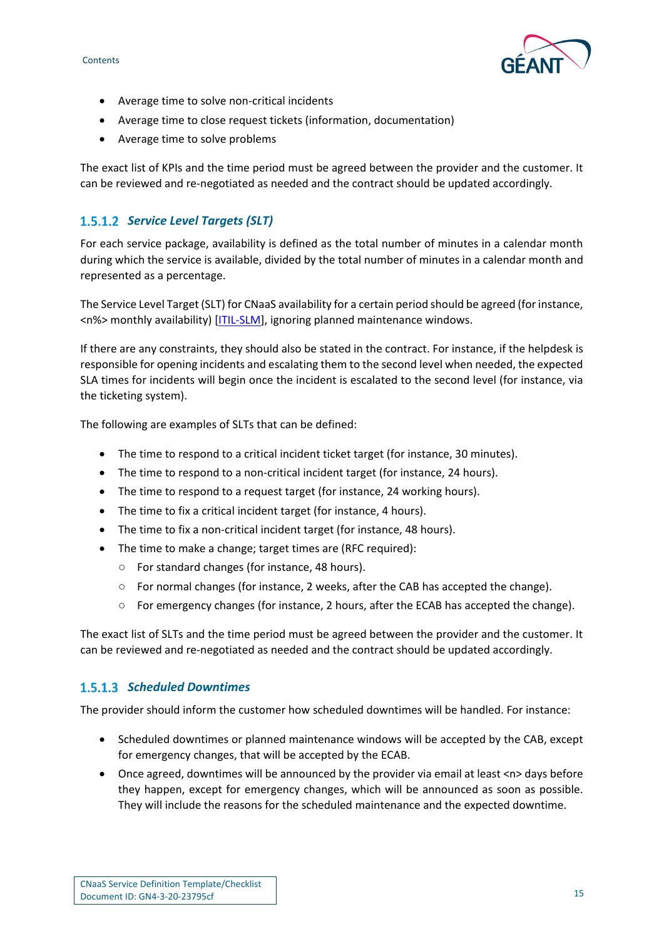

- Average time to solve non-critical incidents
- Average time to close request tickets (information, documentation)
- Average time to solve problems

The exact list of KPIs and the time period must be agreed between the provider and the customer. It can be reviewed and re-negotiated as needed and the contract should be updated accordingly.

### 1.5.1.2 Service Level Targets (SLT)

For each service package, availability is defined as the total number of minutes in a calendar month during which the service is available, divided by the total number of minutes in a calendar month and represented as a percentage.

The Service Level Target (SLT) for CNaaS availability for a certain period should be agreed (for instance, <n%> monthly availability) [\[ITIL-SLM\]](#page-23-6), ignoring planned maintenance windows.

If there are any constraints, they should also be stated in the contract. For instance, if the helpdesk is responsible for opening incidents and escalating them to the second level when needed, the expected SLA times for incidents will begin once the incident is escalated to the second level (for instance, via the ticketing system).

The following are examples of SLTs that can be defined:

- The time to respond to a critical incident ticket target (for instance, 30 minutes).
- The time to respond to a non-critical incident target (for instance, 24 hours).
- The time to respond to a request target (for instance, 24 working hours).
- The time to fix a critical incident target (for instance, 4 hours).
- The time to fix a non-critical incident target (for instance, 48 hours).
- The time to make a change; target times are (RFC required):
	- For standard changes (for instance, 48 hours).
	- For normal changes (for instance, 2 weeks, after the CAB has accepted the change).
	- For emergency changes (for instance, 2 hours, after the ECAB has accepted the change).

The exact list of SLTs and the time period must be agreed between the provider and the customer. It can be reviewed and re-negotiated as needed and the contract should be updated accordingly.

#### *Scheduled Downtimes*

The provider should inform the customer how scheduled downtimes will be handled. For instance:

- Scheduled downtimes or planned maintenance windows will be accepted by the CAB, except for emergency changes, that will be accepted by the ECAB.
- Once agreed, downtimes will be announced by the provider via email at least <n> days before they happen, except for emergency changes, which will be announced as soon as possible. They will include the reasons for the scheduled maintenance and the expected downtime.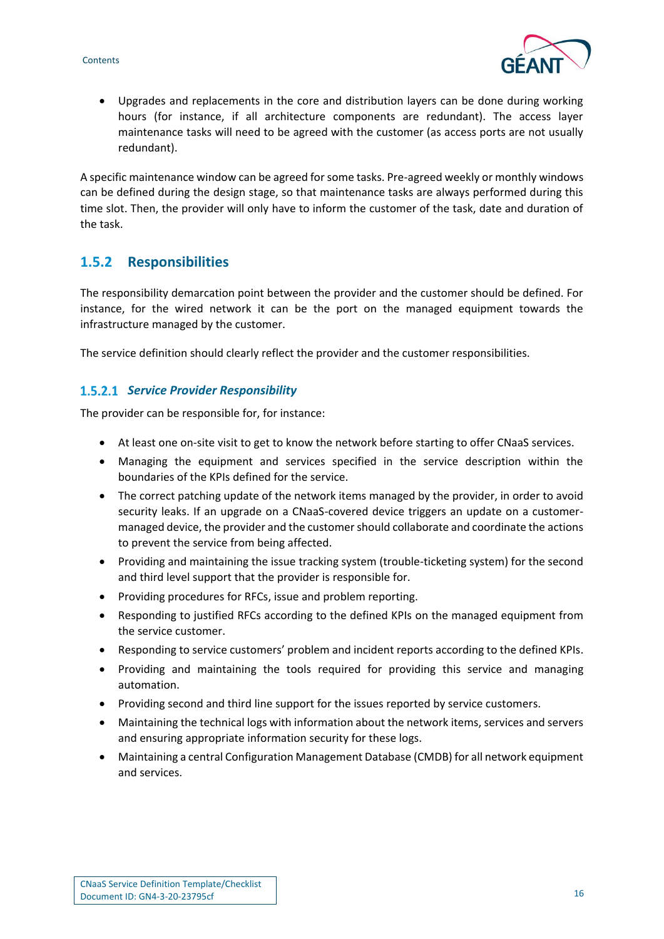

• Upgrades and replacements in the core and distribution layers can be done during working hours (for instance, if all architecture components are redundant). The access layer maintenance tasks will need to be agreed with the customer (as access ports are not usually redundant).

A specific maintenance window can be agreed for some tasks. Pre-agreed weekly or monthly windows can be defined during the design stage, so that maintenance tasks are always performed during this time slot. Then, the provider will only have to inform the customer of the task, date and duration of the task.

## <span id="page-16-0"></span>**1.5.2 Responsibilities**

The responsibility demarcation point between the provider and the customer should be defined. For instance, for the wired network it can be the port on the managed equipment towards the infrastructure managed by the customer.

The service definition should clearly reflect the provider and the customer responsibilities.

#### **1.5.2.1 Service Provider Responsibility**

The provider can be responsible for, for instance:

- At least one on-site visit to get to know the network before starting to offer CNaaS services.
- Managing the equipment and services specified in the service description within the boundaries of the KPIs defined for the service.
- The correct patching update of the network items managed by the provider, in order to avoid security leaks. If an upgrade on a CNaaS-covered device triggers an update on a customermanaged device, the provider and the customer should collaborate and coordinate the actions to prevent the service from being affected.
- Providing and maintaining the issue tracking system (trouble-ticketing system) for the second and third level support that the provider is responsible for.
- Providing procedures for RFCs, issue and problem reporting.
- Responding to justified RFCs according to the defined KPIs on the managed equipment from the service customer.
- Responding to service customers' problem and incident reports according to the defined KPIs.
- Providing and maintaining the tools required for providing this service and managing automation.
- Providing second and third line support for the issues reported by service customers.
- Maintaining the technical logs with information about the network items, services and servers and ensuring appropriate information security for these logs.
- Maintaining a central Configuration Management Database (CMDB) for all network equipment and services.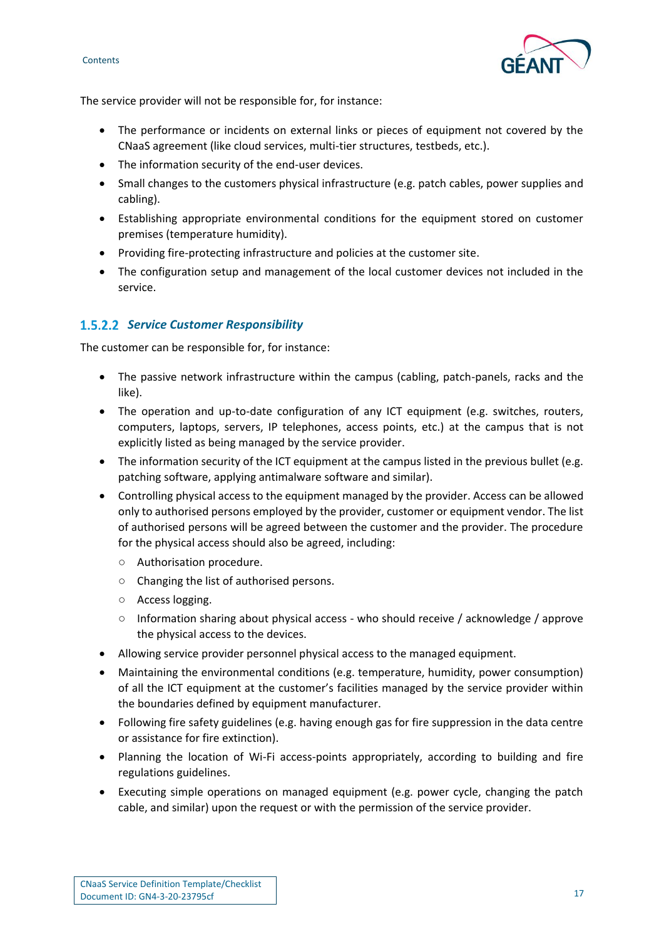



The service provider will not be responsible for, for instance:

- The performance or incidents on external links or pieces of equipment not covered by the CNaaS agreement (like cloud services, multi-tier structures, testbeds, etc.).
- The information security of the end-user devices.
- Small changes to the customers physical infrastructure (e.g. patch cables, power supplies and cabling).
- Establishing appropriate environmental conditions for the equipment stored on customer premises (temperature humidity).
- Providing fire-protecting infrastructure and policies at the customer site.
- The configuration setup and management of the local customer devices not included in the service.

#### *Service Customer Responsibility*

The customer can be responsible for, for instance:

- The passive network infrastructure within the campus (cabling, patch-panels, racks and the like).
- The operation and up-to-date configuration of any ICT equipment (e.g. switches, routers, computers, laptops, servers, IP telephones, access points, etc.) at the campus that is not explicitly listed as being managed by the service provider.
- The information security of the ICT equipment at the campus listed in the previous bullet (e.g. patching software, applying antimalware software and similar).
- Controlling physical access to the equipment managed by the provider. Access can be allowed only to authorised persons employed by the provider, customer or equipment vendor. The list of authorised persons will be agreed between the customer and the provider. The procedure for the physical access should also be agreed, including:
	- Authorisation procedure.
	- Changing the list of authorised persons.
	- Access logging.
	- Information sharing about physical access who should receive / acknowledge / approve the physical access to the devices.
- Allowing service provider personnel physical access to the managed equipment.
- Maintaining the environmental conditions (e.g. temperature, humidity, power consumption) of all the ICT equipment at the customer's facilities managed by the service provider within the boundaries defined by equipment manufacturer.
- Following fire safety guidelines (e.g. having enough gas for fire suppression in the data centre or assistance for fire extinction).
- Planning the location of Wi-Fi access-points appropriately, according to building and fire regulations guidelines.
- Executing simple operations on managed equipment (e.g. power cycle, changing the patch cable, and similar) upon the request or with the permission of the service provider.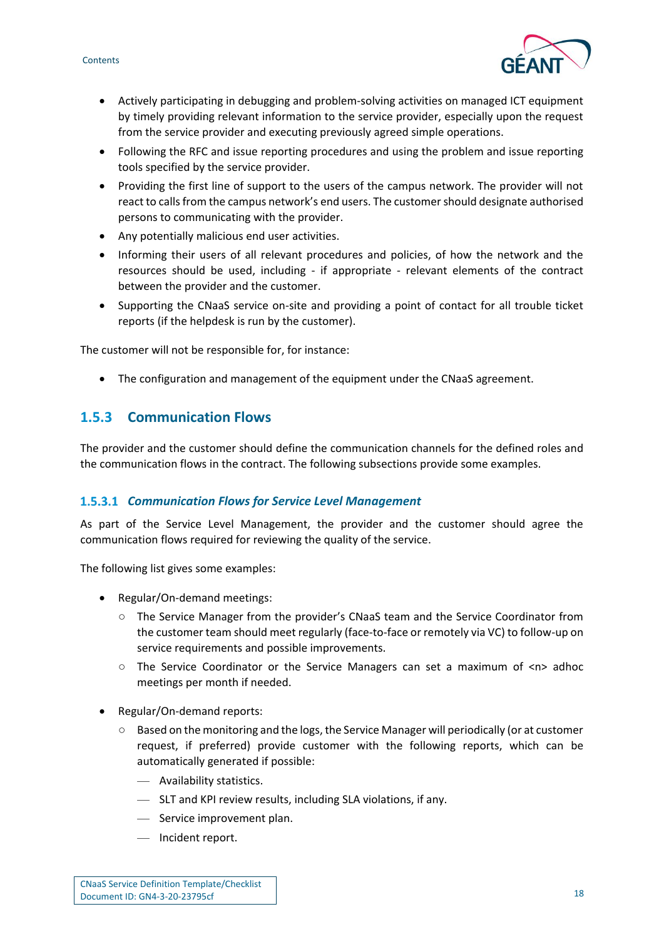



- Actively participating in debugging and problem-solving activities on managed ICT equipment by timely providing relevant information to the service provider, especially upon the request from the service provider and executing previously agreed simple operations.
- Following the RFC and issue reporting procedures and using the problem and issue reporting tools specified by the service provider.
- Providing the first line of support to the users of the campus network. The provider will not react to calls from the campus network's end users. The customer should designate authorised persons to communicating with the provider.
- Any potentially malicious end user activities.
- Informing their users of all relevant procedures and policies, of how the network and the resources should be used, including - if appropriate - relevant elements of the contract between the provider and the customer.
- Supporting the CNaaS service on-site and providing a point of contact for all trouble ticket reports (if the helpdesk is run by the customer).

The customer will not be responsible for, for instance:

• The configuration and management of the equipment under the CNaaS agreement.

## <span id="page-18-0"></span>**1.5.3 Communication Flows**

The provider and the customer should define the communication channels for the defined roles and the communication flows in the contract. The following subsections provide some examples.

#### *Communication Flows for Service Level Management*

As part of the Service Level Management, the provider and the customer should agree the communication flows required for reviewing the quality of the service.

The following list gives some examples:

- Regular/On-demand meetings:
	- The Service Manager from the provider's CNaaS team and the Service Coordinator from the customer team should meet regularly (face-to-face or remotely via VC) to follow-up on service requirements and possible improvements.
	- The Service Coordinator or the Service Managers can set a maximum of <n> adhoc meetings per month if needed.
- Regular/On-demand reports:
	- Based on the monitoring and the logs, the Service Manager will periodically (or at customer request, if preferred) provide customer with the following reports, which can be automatically generated if possible:
		- Availability statistics.
		- SLT and KPI review results, including SLA violations, if any.
		- Service improvement plan.
		- Incident report.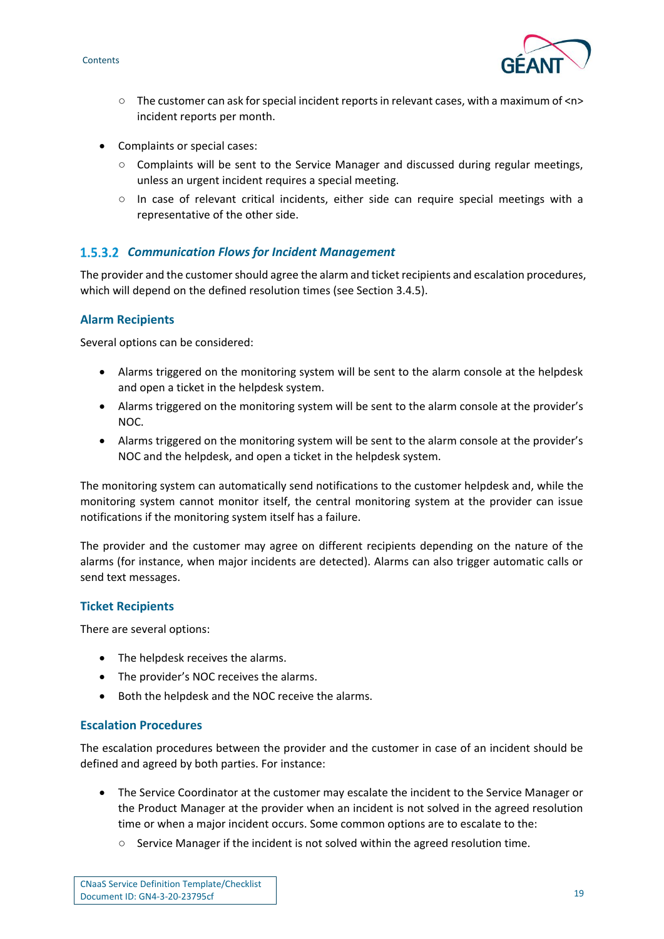

- The customer can ask for special incident reports in relevant cases, with a maximum of <n> incident reports per month.
- Complaints or special cases:
	- Complaints will be sent to the Service Manager and discussed during regular meetings, unless an urgent incident requires a special meeting.
	- In case of relevant critical incidents, either side can require special meetings with a representative of the other side.

#### *Communication Flows for Incident Management*

The provider and the customer should agree the alarm and ticket recipients and escalation procedures, which will depend on the defined resolution times (see Section 3.4.5).

#### **Alarm Recipients**

Several options can be considered:

- Alarms triggered on the monitoring system will be sent to the alarm console at the helpdesk and open a ticket in the helpdesk system.
- Alarms triggered on the monitoring system will be sent to the alarm console at the provider's NOC.
- Alarms triggered on the monitoring system will be sent to the alarm console at the provider's NOC and the helpdesk, and open a ticket in the helpdesk system.

The monitoring system can automatically send notifications to the customer helpdesk and, while the monitoring system cannot monitor itself, the central monitoring system at the provider can issue notifications if the monitoring system itself has a failure.

The provider and the customer may agree on different recipients depending on the nature of the alarms (for instance, when major incidents are detected). Alarms can also trigger automatic calls or send text messages.

#### **Ticket Recipients**

There are several options:

- The helpdesk receives the alarms.
- The provider's NOC receives the alarms.
- Both the helpdesk and the NOC receive the alarms.

#### **Escalation Procedures**

The escalation procedures between the provider and the customer in case of an incident should be defined and agreed by both parties. For instance:

- The Service Coordinator at the customer may escalate the incident to the Service Manager or the Product Manager at the provider when an incident is not solved in the agreed resolution time or when a major incident occurs. Some common options are to escalate to the:
	- Service Manager if the incident is not solved within the agreed resolution time.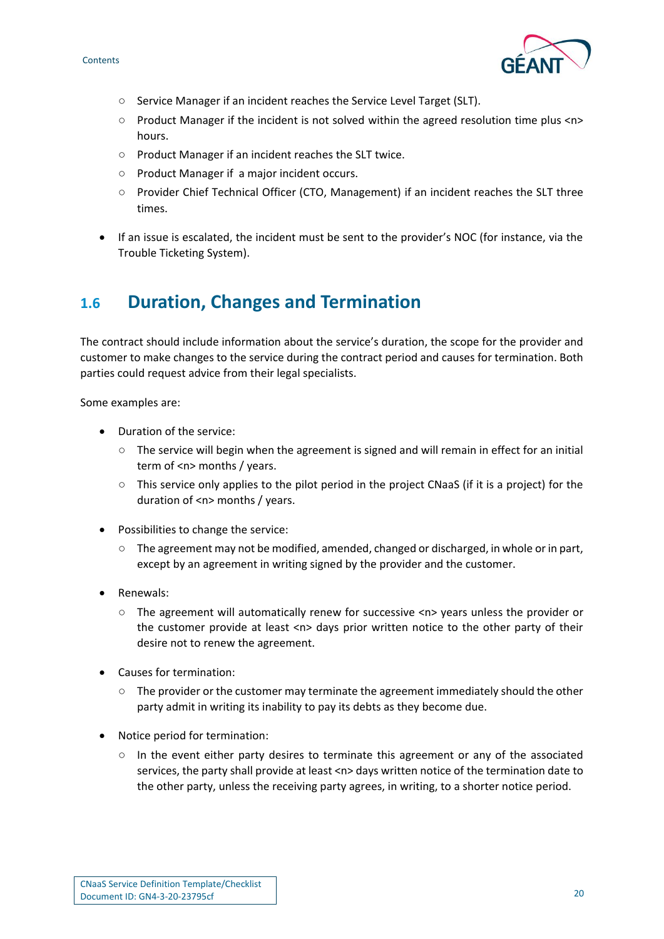

- Service Manager if an incident reaches the Service Level Target (SLT).
- Product Manager if the incident is not solved within the agreed resolution time plus <n> hours.
- Product Manager if an incident reaches the SLT twice.
- Product Manager if a major incident occurs.
- Provider Chief Technical Officer (CTO, Management) if an incident reaches the SLT three times.
- If an issue is escalated, the incident must be sent to the provider's NOC (for instance, via the Trouble Ticketing System).

# <span id="page-20-0"></span>**1.6 Duration, Changes and Termination**

The contract should include information about the service's duration, the scope for the provider and customer to make changes to the service during the contract period and causes for termination. Both parties could request advice from their legal specialists.

Some examples are:

- Duration of the service:
	- $\circ$  The service will begin when the agreement is signed and will remain in effect for an initial term of <n> months / years.
	- $\circ$  This service only applies to the pilot period in the project CNaaS (if it is a project) for the duration of <n> months / years.
- Possibilities to change the service:
	- The agreement may not be modified, amended, changed or discharged, in whole or in part, except by an agreement in writing signed by the provider and the customer.
- Renewals:
	- The agreement will automatically renew for successive <n> years unless the provider or the customer provide at least <n> days prior written notice to the other party of their desire not to renew the agreement.
- Causes for termination:
	- $\circ$  The provider or the customer may terminate the agreement immediately should the other party admit in writing its inability to pay its debts as they become due.
- Notice period for termination:
	- In the event either party desires to terminate this agreement or any of the associated services, the party shall provide at least <n> days written notice of the termination date to the other party, unless the receiving party agrees, in writing, to a shorter notice period.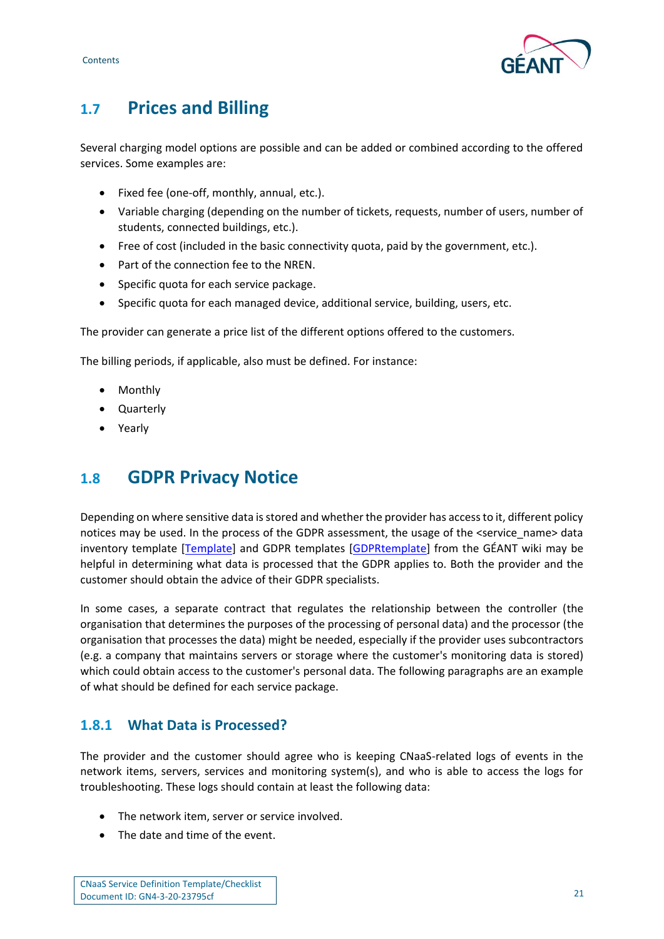



# <span id="page-21-0"></span>**1.7 Prices and Billing**

Several charging model options are possible and can be added or combined according to the offered services. Some examples are:

- Fixed fee (one-off, monthly, annual, etc.).
- Variable charging (depending on the number of tickets, requests, number of users, number of students, connected buildings, etc.).
- Free of cost (included in the basic connectivity quota, paid by the government, etc.).
- Part of the connection fee to the NREN.
- Specific quota for each service package.
- Specific quota for each managed device, additional service, building, users, etc.

The provider can generate a price list of the different options offered to the customers.

The billing periods, if applicable, also must be defined. For instance:

- Monthly
- Quarterly
- **Yearly**

# <span id="page-21-1"></span>**1.8 GDPR Privacy Notice**

Depending on where sensitive data is stored and whether the provider has access to it, different policy notices may be used. In the process of the GDPR assessment, the usage of the <service\_name> data inventory template [\[Template\]](#page-23-7) and GDPR templates [\[GDPRtemplate\]](#page-23-8) from the GÉANT wiki may be helpful in determining what data is processed that the GDPR applies to. Both the provider and the customer should obtain the advice of their GDPR specialists.

In some cases, a separate contract that regulates the relationship between the controller (the organisation that determines the purposes of the processing of personal data) and the processor (the organisation that processes the data) might be needed, especially if the provider uses subcontractors (e.g. a company that maintains servers or storage where the customer's monitoring data is stored) which could obtain access to the customer's personal data. The following paragraphs are an example of what should be defined for each service package.

# <span id="page-21-2"></span>**1.8.1 What Data is Processed?**

The provider and the customer should agree who is keeping CNaaS-related logs of events in the network items, servers, services and monitoring system(s), and who is able to access the logs for troubleshooting. These logs should contain at least the following data:

- The network item, server or service involved.
- The date and time of the event.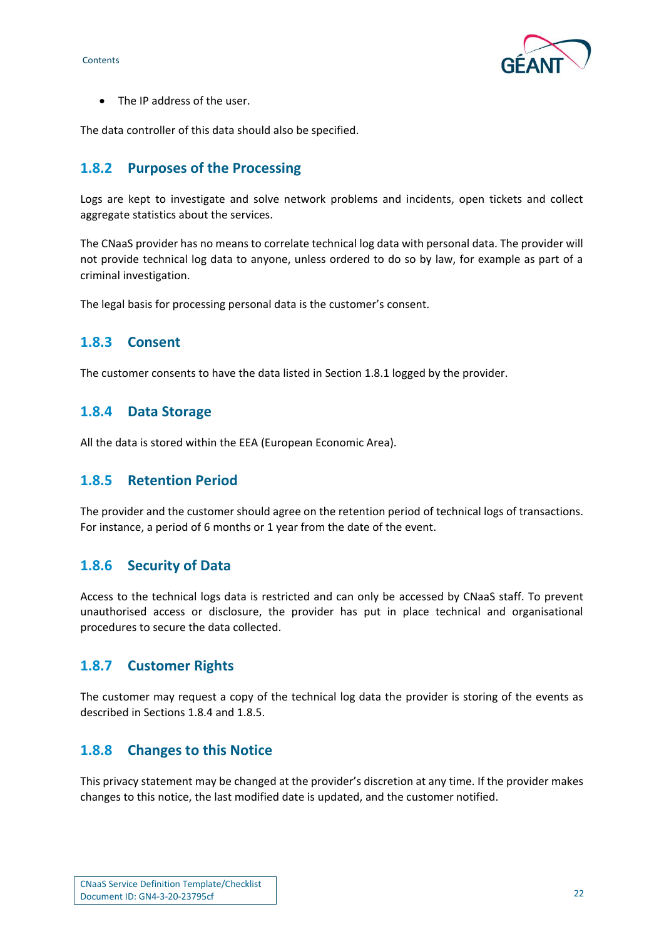

• The IP address of the user.

The data controller of this data should also be specified.

## <span id="page-22-0"></span>**1.8.2 Purposes of the Processing**

Logs are kept to investigate and solve network problems and incidents, open tickets and collect aggregate statistics about the services.

The CNaaS provider has no means to correlate technical log data with personal data. The provider will not provide technical log data to anyone, unless ordered to do so by law, for example as part of a criminal investigation.

The legal basis for processing personal data is the customer's consent.

## <span id="page-22-1"></span>**1.8.3 Consent**

The customer consents to have the data listed in Section 1.8.1 logged by the provider.

## <span id="page-22-2"></span>**1.8.4 Data Storage**

All the data is stored within the EEA (European Economic Area).

#### <span id="page-22-3"></span>**1.8.5 Retention Period**

The provider and the customer should agree on the retention period of technical logs of transactions. For instance, a period of 6 months or 1 year from the date of the event.

#### <span id="page-22-4"></span>**1.8.6 Security of Data**

Access to the technical logs data is restricted and can only be accessed by CNaaS staff. To prevent unauthorised access or disclosure, the provider has put in place technical and organisational procedures to secure the data collected.

#### <span id="page-22-5"></span>**1.8.7 Customer Rights**

The customer may request a copy of the technical log data the provider is storing of the events as described in Sections 1.8.4 and 1.8.5.

#### <span id="page-22-6"></span>**1.8.8 Changes to this Notice**

This privacy statement may be changed at the provider's discretion at any time. If the provider makes changes to this notice, the last modified date is updated, and the customer notified.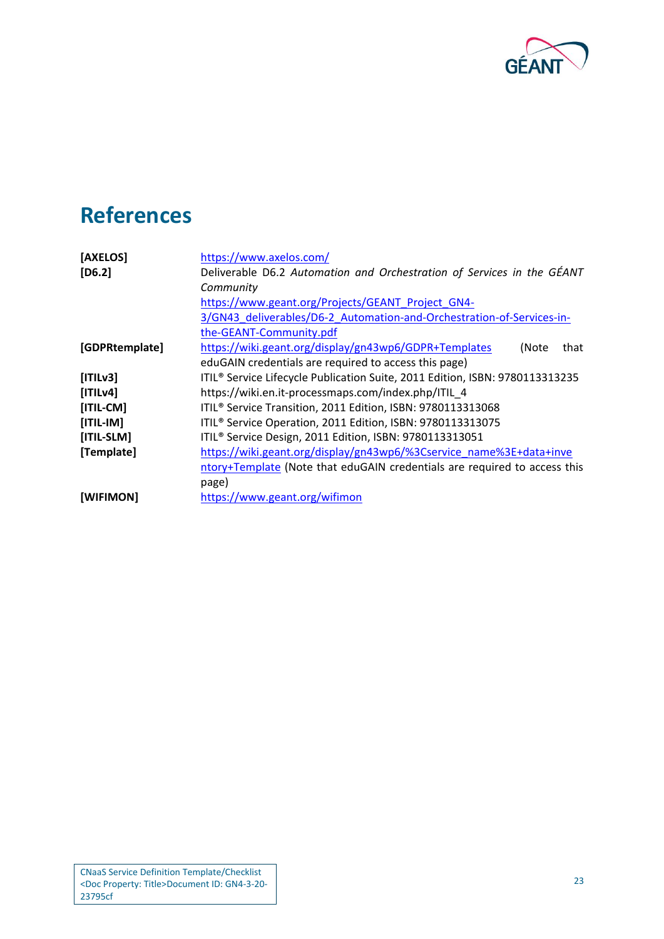

# <span id="page-23-0"></span>**References**

<span id="page-23-8"></span><span id="page-23-7"></span><span id="page-23-6"></span><span id="page-23-5"></span><span id="page-23-4"></span><span id="page-23-3"></span><span id="page-23-2"></span><span id="page-23-1"></span>

| [AXELOS]       | https://www.axelos.com/                                                      |  |
|----------------|------------------------------------------------------------------------------|--|
| $[D6.2]$       | Deliverable D6.2 Automation and Orchestration of Services in the GÉANT       |  |
|                | Community                                                                    |  |
|                | https://www.geant.org/Projects/GEANT Project GN4-                            |  |
|                | 3/GN43 deliverables/D6-2 Automation-and-Orchestration-of-Services-in-        |  |
|                | the-GEANT-Community.pdf                                                      |  |
| [GDPRtemplate] | https://wiki.geant.org/display/gn43wp6/GDPR+Templates<br>(Note<br>that       |  |
|                | eduGAIN credentials are required to access this page)                        |  |
| [ITILv3]       | ITIL® Service Lifecycle Publication Suite, 2011 Edition, ISBN: 9780113313235 |  |
| [ITILv4]       | https://wiki.en.it-processmaps.com/index.php/ITIL 4                          |  |
| $[ITIL-CM]$    | ITIL <sup>®</sup> Service Transition, 2011 Edition, ISBN: 9780113313068      |  |
| $[ITIL-IM]$    | ITIL <sup>®</sup> Service Operation, 2011 Edition, ISBN: 9780113313075       |  |
| [ITIL-SLM]     | ITIL <sup>®</sup> Service Design, 2011 Edition, ISBN: 9780113313051          |  |
| [Template]     | https://wiki.geant.org/display/gn43wp6/%3Cservice_name%3E+data+inve          |  |
|                | ntory+Template (Note that eduGAIN credentials are required to access this    |  |
|                | page)                                                                        |  |
| [WIFIMON]      | https://www.geant.org/wifimon                                                |  |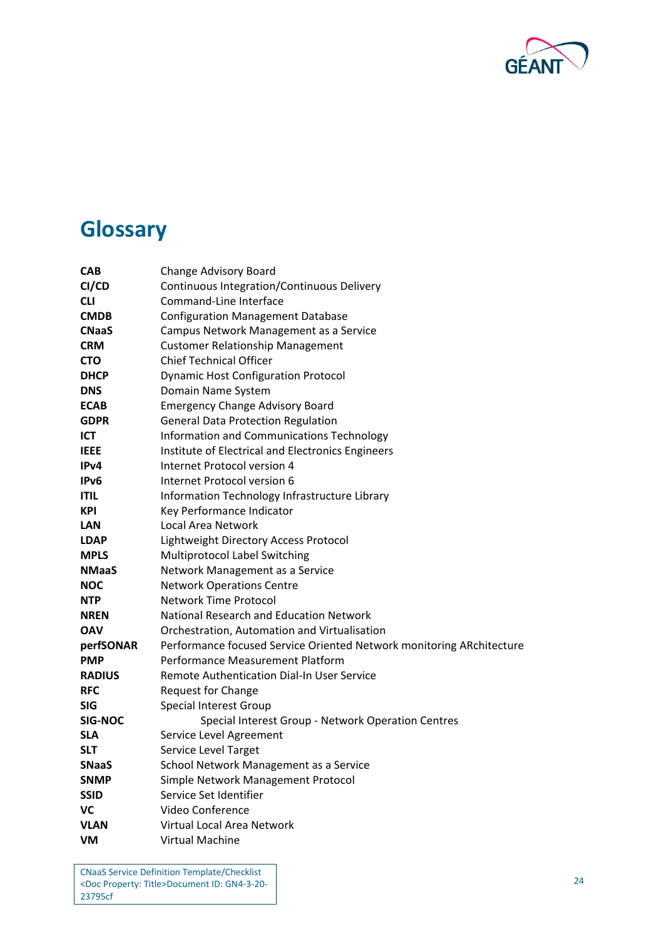

# <span id="page-24-0"></span>**Glossary**

| <b>CAB</b>        | Change Advisory Board                                                |  |
|-------------------|----------------------------------------------------------------------|--|
| CI/CD             | Continuous Integration/Continuous Delivery                           |  |
| <b>CLI</b>        | Command-Line Interface                                               |  |
| <b>CMDB</b>       | <b>Configuration Management Database</b>                             |  |
| <b>CNaaS</b>      | Campus Network Management as a Service                               |  |
| <b>CRM</b>        | <b>Customer Relationship Management</b>                              |  |
| <b>CTO</b>        | <b>Chief Technical Officer</b>                                       |  |
| <b>DHCP</b>       | <b>Dynamic Host Configuration Protocol</b>                           |  |
| <b>DNS</b>        | Domain Name System                                                   |  |
| <b>ECAB</b>       | <b>Emergency Change Advisory Board</b>                               |  |
| <b>GDPR</b>       | <b>General Data Protection Regulation</b>                            |  |
| ICT               | Information and Communications Technology                            |  |
| <b>IEEE</b>       | Institute of Electrical and Electronics Engineers                    |  |
| IP <sub>v</sub> 4 | Internet Protocol version 4                                          |  |
| IPv <sub>6</sub>  | Internet Protocol version 6                                          |  |
| <b>ITIL</b>       | Information Technology Infrastructure Library                        |  |
| <b>KPI</b>        | Key Performance Indicator                                            |  |
| LAN               | Local Area Network                                                   |  |
| <b>LDAP</b>       | Lightweight Directory Access Protocol                                |  |
| <b>MPLS</b>       | Multiprotocol Label Switching                                        |  |
| <b>NMaaS</b>      | Network Management as a Service                                      |  |
| NOC               | <b>Network Operations Centre</b>                                     |  |
| <b>NTP</b>        | <b>Network Time Protocol</b>                                         |  |
| <b>NREN</b>       | National Research and Education Network                              |  |
| <b>OAV</b>        | Orchestration, Automation and Virtualisation                         |  |
| perfSONAR         | Performance focused Service Oriented Network monitoring ARchitecture |  |
| <b>PMP</b>        | Performance Measurement Platform                                     |  |
| <b>RADIUS</b>     | Remote Authentication Dial-In User Service                           |  |
| <b>RFC</b>        | <b>Request for Change</b>                                            |  |
| SIG               | <b>Special Interest Group</b>                                        |  |
| <b>SIG-NOC</b>    | Special Interest Group - Network Operation Centres                   |  |
| <b>SLA</b>        | Service Level Agreement                                              |  |
| <b>SLT</b>        | Service Level Target                                                 |  |
| <b>SNaaS</b>      | School Network Management as a Service                               |  |
| <b>SNMP</b>       | Simple Network Management Protocol                                   |  |
| <b>SSID</b>       | Service Set Identifier                                               |  |
| VC                | Video Conference                                                     |  |
| <b>VLAN</b>       | Virtual Local Area Network                                           |  |
| <b>VM</b>         | Virtual Machine                                                      |  |